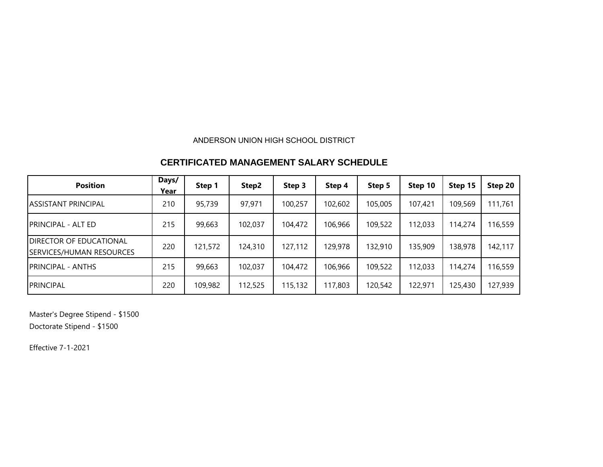## ANDERSON UNION HIGH SCHOOL DISTRICT

## **CERTIFICATED MANAGEMENT SALARY SCHEDULE**

| <b>Position</b>                                                   | Days/<br>Year | Step 1  | Step2   | Step 3  | Step 4  | Step 5  | Step 10 | Step 15 | Step 20 |
|-------------------------------------------------------------------|---------------|---------|---------|---------|---------|---------|---------|---------|---------|
| <b>ASSISTANT PRINCIPAL</b>                                        | 210           | 95,739  | 97,971  | 100,257 | 102,602 | 105,005 | 107,421 | 109,569 | 111,761 |
| <b>PRINCIPAL - ALT ED</b>                                         | 215           | 99,663  | 102,037 | 104,472 | 106,966 | 109,522 | 112,033 | 114,274 | 116,559 |
| <b>DIRECTOR OF EDUCATIONAL</b><br><b>SERVICES/HUMAN RESOURCES</b> | 220           | 121,572 | 124,310 | 127,112 | 129,978 | 132,910 | 135,909 | 138,978 | 142,117 |
| <b>PRINCIPAL - ANTHS</b>                                          | 215           | 99,663  | 102,037 | 104,472 | 106,966 | 109,522 | 112,033 | 114,274 | 116,559 |
| <b>PRINCIPAL</b>                                                  | 220           | 109,982 | 112,525 | 115,132 | 117,803 | 120,542 | 122,971 | 125,430 | 127,939 |

Master's Degree Stipend - \$1500

Doctorate Stipend - \$1500

Effective 7-1-2021